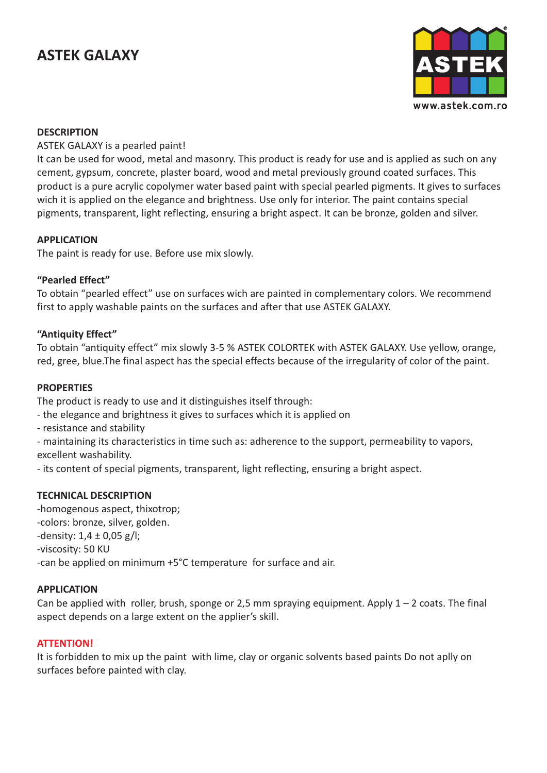# **ASTEK GALAXY**



### **DESCRIPTION**

### ASTEK GALAXY is a pearled paint!

It can be used for wood, metal and masonry. This product is ready for use and is applied as such on any cement, gypsum, concrete, plaster board, wood and metal previously ground coated surfaces. This product is a pure acrylic copolymer water based paint with special pearled pigments. It gives to surfaces wich it is applied on the elegance and brightness. Use only for interior. The paint contains special pigments, transparent, light reflecting, ensuring a bright aspect. It can be bronze, golden and silver.

# **APPLICATION**

The paint is ready for use. Before use mix slowly.

# **"Pearled Effect"**

To obtain "pearled effect" use on surfaces wich are painted in complementary colors. We recommend first to apply washable paints on the surfaces and after that use ASTEK GALAXY.

# **"Antiquity Effect"**

To obtain "antiquity effect" mix slowly 3-5 % ASTEK COLORTEK with ASTEK GALAXY. Use yellow, orange, red, gree, blue.The final aspect has the special effects because of the irregularity of color of the paint.

### **PROPERTIES**

The product is ready to use and it distinguishes itself through:

- the elegance and brightness it gives to surfaces which it is applied on
- resistance and stability

- maintaining its characteristics in time such as: adherence to the support, permeability to vapors, excellent washability.

- its content of special pigments, transparent, light reflecting, ensuring a bright aspect.

### **TECHNICAL DESCRIPTION**

-homogenous aspect, thixotrop; -colors: bronze, silver, golden. -density: 1,4 ± 0,05 g/l; -viscosity: 50 KU -can be applied on minimum +5°C temperature for surface and air.

### **APPLICATION**

Can be applied with roller, brush, sponge or 2,5 mm spraying equipment. Apply  $1 - 2$  coats. The final aspect depends on a large extent on the applier's skill.

### **ATTENTION!**

It is forbidden to mix up the paint with lime, clay or organic solvents based paints Do not aplly on surfaces before painted with clay.